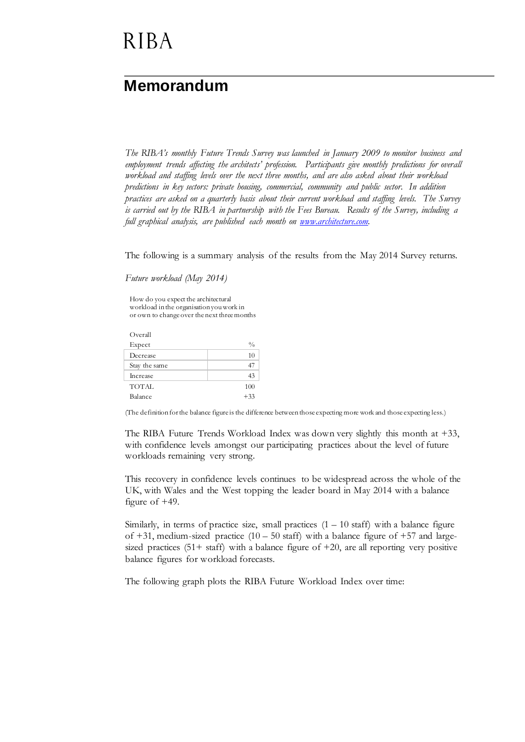# **RIBA**

### **Memorandum**

*The RIBA's monthly Future Trends Survey was launched in January 2009 to monitor business and employment trends affecting the architects' profession. Participants give monthly predictions for overall workload and staffing levels over the next three months, and are also asked about their workload predictions in key sectors: private housing, commercial, community and public sector. In addition practices are asked on a quarterly basis about their current workload and staffing levels. The Survey is carried out by the RIBA in partnership with the Fees Bureau. Results of the Survey, including a full graphical analysis, are published each month on [www.architecture.com.](http://www.architecture.com/)* 

The following is a summary analysis of the results from the May 2014 Survey returns.

*Future workload (May 2014)* 

How do you expect the architectural workload in the organisation you work in or own to change over the next three months

| Overall       |               |
|---------------|---------------|
| Expect        | $\frac{0}{0}$ |
| Decrease      | 10            |
| Stay the same | 47            |
| Increase      | 43            |
| <b>TOTAL</b>  | 100           |
| Balance       | $+33$         |

(The definition for the balance figure is the difference between those expecting more work and those expecting less.)

The RIBA Future Trends Workload Index was down very slightly this month at +33, with confidence levels amongst our participating practices about the level of future workloads remaining very strong.

This recovery in confidence levels continues to be widespread across the whole of the UK, with Wales and the West topping the leader board in May 2014 with a balance figure of +49.

Similarly, in terms of practice size, small practices  $(1 - 10 \text{ staff})$  with a balance figure of  $+31$ , medium-sized practice  $(10 - 50 \text{ staff})$  with a balance figure of  $+57$  and largesized practices  $(51 + \text{staff})$  with a balance figure of  $+20$ , are all reporting very positive balance figures for workload forecasts.

The following graph plots the RIBA Future Workload Index over time: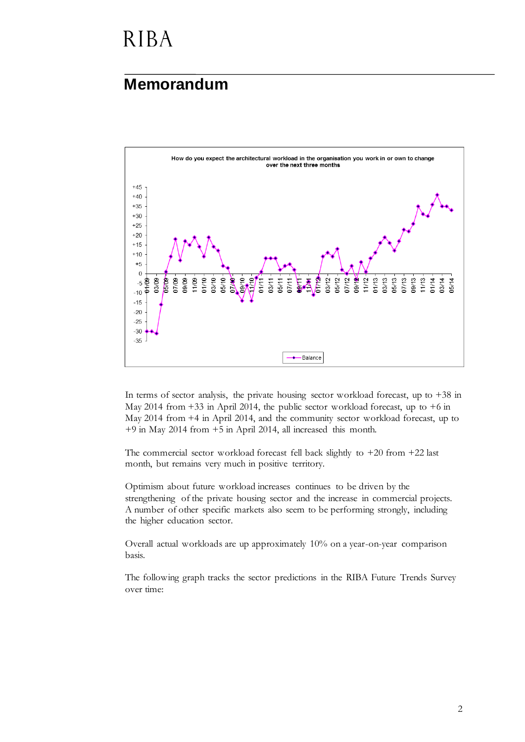## **RIBA**

#### **Memorandum**



In terms of sector analysis, the private housing sector workload forecast, up to  $+38$  in May 2014 from +33 in April 2014, the public sector workload forecast, up to +6 in May 2014 from +4 in April 2014, and the community sector workload forecast, up to +9 in May 2014 from +5 in April 2014, all increased this month.

The commercial sector workload forecast fell back slightly to +20 from +22 last month, but remains very much in positive territory.

Optimism about future workload increases continues to be driven by the strengthening of the private housing sector and the increase in commercial projects. A number of other specific markets also seem to be performing strongly, including the higher education sector.

Overall actual workloads are up approximately 10% on a year-on-year comparison basis.

The following graph tracks the sector predictions in the RIBA Future Trends Survey over time: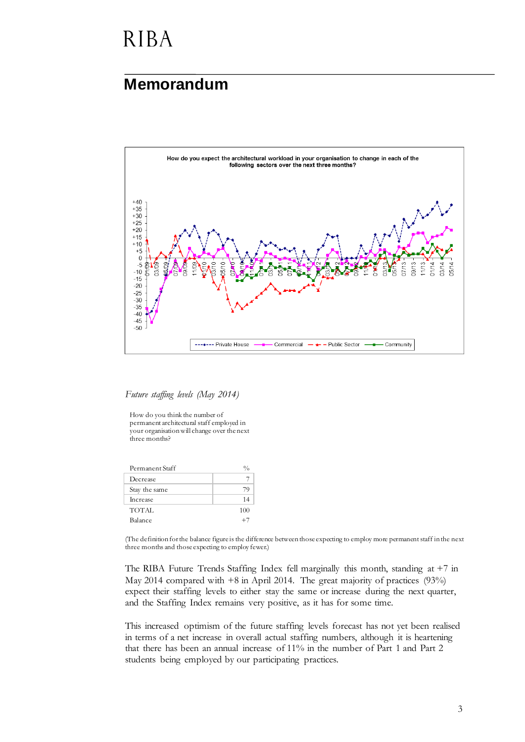### **RIBA**

#### **Memorandum**



*Future staffing levels (May 2014)*

How do you think the number of permanent architectural staff employed in your organisation will change over the next three months?

| Permanent Staff |              |
|-----------------|--------------|
| Decrease        |              |
| Stay the same   | 7 U          |
| <b>Increase</b> | 14           |
| TOTAL           | 100          |
| Balance         | $+$ $\prime$ |
|                 |              |

(The definition for the balance figure is the difference between those expecting to employ more permanent staff in the next three months and those expecting to employ fewer.)

The RIBA Future Trends Staffing Index fell marginally this month, standing at +7 in May 2014 compared with +8 in April 2014. The great majority of practices (93%) expect their staffing levels to either stay the same or increase during the next quarter, and the Staffing Index remains very positive, as it has for some time.

This increased optimism of the future staffing levels forecast has not yet been realised in terms of a net increase in overall actual staffing numbers, although it is heartening that there has been an annual increase of 11% in the number of Part 1 and Part 2 students being employed by our participating practices.